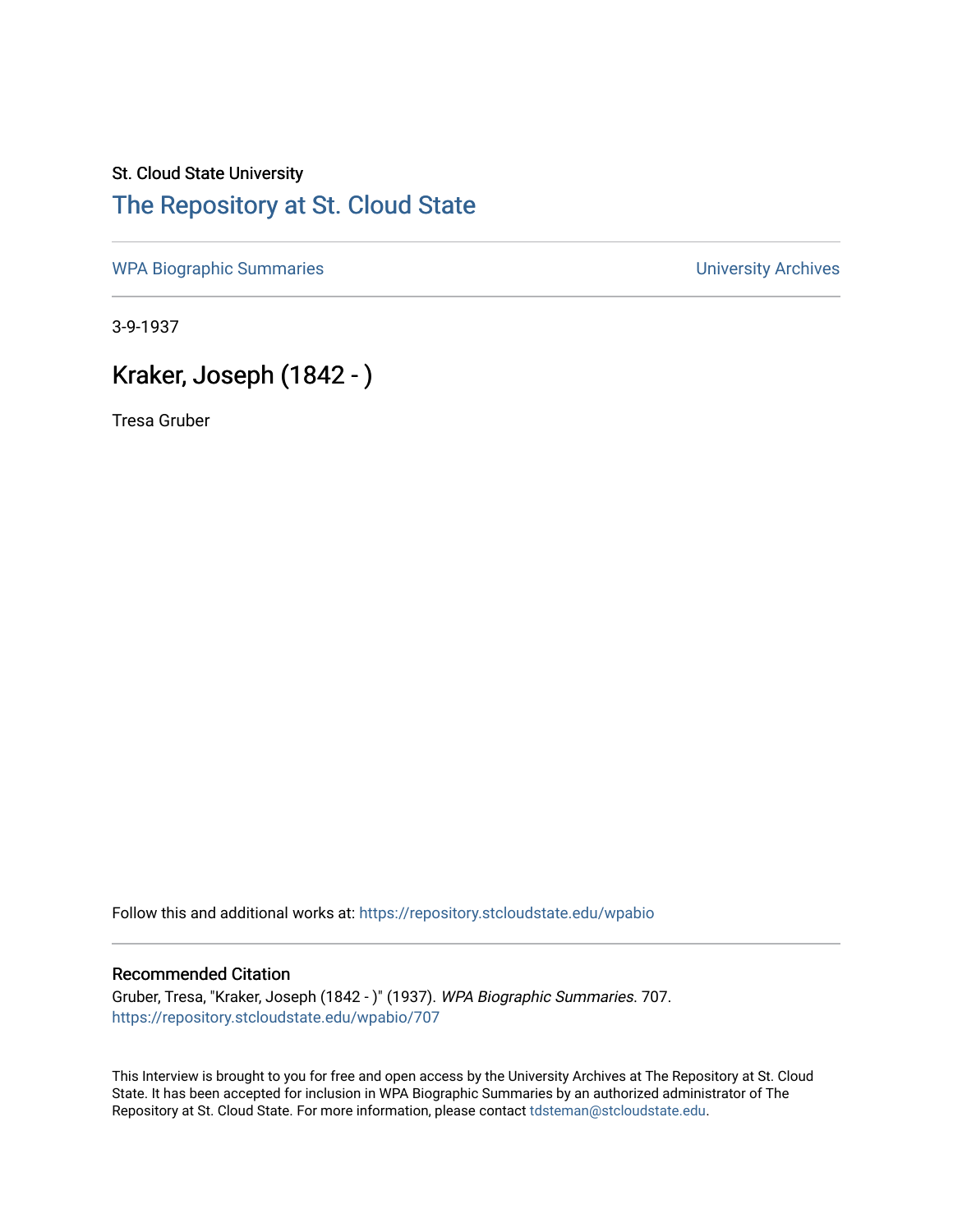## St. Cloud State University [The Repository at St. Cloud State](https://repository.stcloudstate.edu/)

[WPA Biographic Summaries](https://repository.stcloudstate.edu/wpabio) **WPA Biographic Summaries University Archives** 

3-9-1937

## Kraker, Joseph (1842 - )

Tresa Gruber

Follow this and additional works at: [https://repository.stcloudstate.edu/wpabio](https://repository.stcloudstate.edu/wpabio?utm_source=repository.stcloudstate.edu%2Fwpabio%2F707&utm_medium=PDF&utm_campaign=PDFCoverPages) 

## Recommended Citation

Gruber, Tresa, "Kraker, Joseph (1842 - )" (1937). WPA Biographic Summaries. 707. [https://repository.stcloudstate.edu/wpabio/707](https://repository.stcloudstate.edu/wpabio/707?utm_source=repository.stcloudstate.edu%2Fwpabio%2F707&utm_medium=PDF&utm_campaign=PDFCoverPages) 

This Interview is brought to you for free and open access by the University Archives at The Repository at St. Cloud State. It has been accepted for inclusion in WPA Biographic Summaries by an authorized administrator of The Repository at St. Cloud State. For more information, please contact [tdsteman@stcloudstate.edu.](mailto:tdsteman@stcloudstate.edu)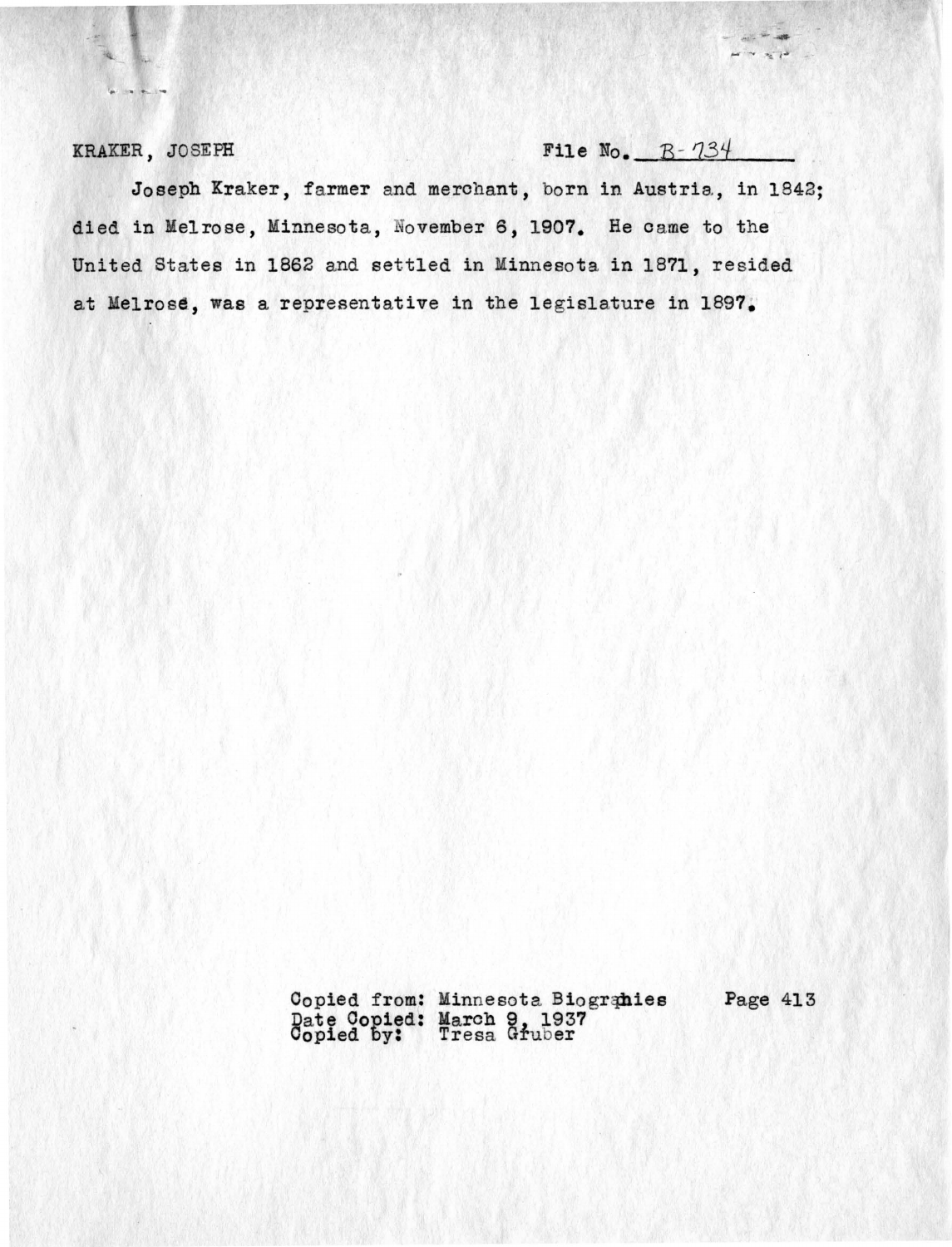**KRAKER, JOSEPH File No. B-**  $734$ 

 $\frac{1}{2}$   $\frac{1}{2}$   $\frac{1}{2}$   $\frac{1}{2}$   $\frac{1}{2}$   $\frac{1}{2}$  $\rightarrow \rightarrow \rightarrow \rightarrow$ 

Joseph Kraker, farmer and merchant, born in Austria, in 1842; died in Melrose, Minnesota, November 6, 1907. He came to the United States in 1862 and settled in Minnesota in 1871, resided at Melrose, was a representative in the legislature in 1897.

> Copied from: Minnesota Biogranies Page 413 Date Copied: March 9, 1937<br>Copied by: Tresa Gruber